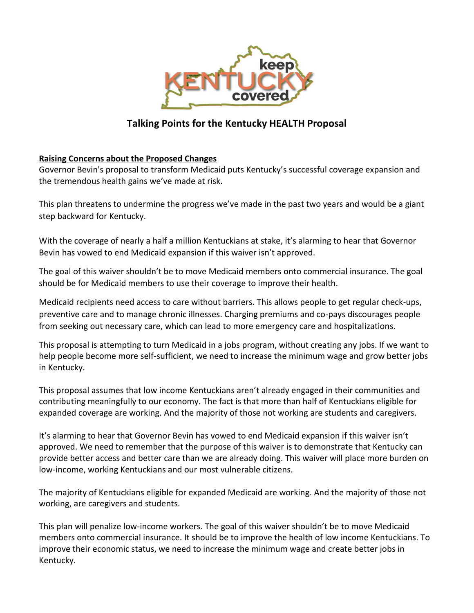

## **Talking Points for the Kentucky HEALTH Proposal**

## **Raising Concerns about the Proposed Changes**

Governor Bevin's proposal to transform Medicaid puts Kentucky's successful coverage expansion and the tremendous health gains we've made at risk.

This plan threatens to undermine the progress we've made in the past two years and would be a giant step backward for Kentucky.

With the coverage of nearly a half a million Kentuckians at stake, it's alarming to hear that Governor Bevin has vowed to end Medicaid expansion if this waiver isn't approved.

The goal of this waiver shouldn't be to move Medicaid members onto commercial insurance. The goal should be for Medicaid members to use their coverage to improve their health.

Medicaid recipients need access to care without barriers. This allows people to get regular check-ups, preventive care and to manage chronic illnesses. Charging premiums and co-pays discourages people from seeking out necessary care, which can lead to more emergency care and hospitalizations.

This proposal is attempting to turn Medicaid in a jobs program, without creating any jobs. If we want to help people become more self-sufficient, we need to increase the minimum wage and grow better jobs in Kentucky.

This proposal assumes that low income Kentuckians aren't already engaged in their communities and contributing meaningfully to our economy. The fact is that more than half of Kentuckians eligible for expanded coverage are working. And the majority of those not working are students and caregivers.

It's alarming to hear that Governor Bevin has vowed to end Medicaid expansion if this waiver isn't approved. We need to remember that the purpose of this waiver is to demonstrate that Kentucky can provide better access and better care than we are already doing. This waiver will place more burden on low-income, working Kentuckians and our most vulnerable citizens.

The majority of Kentuckians eligible for expanded Medicaid are working. And the majority of those not working, are caregivers and students.

This plan will penalize low-income workers. The goal of this waiver shouldn't be to move Medicaid members onto commercial insurance. It should be to improve the health of low income Kentuckians. To improve their economic status, we need to increase the minimum wage and create better jobs in Kentucky.